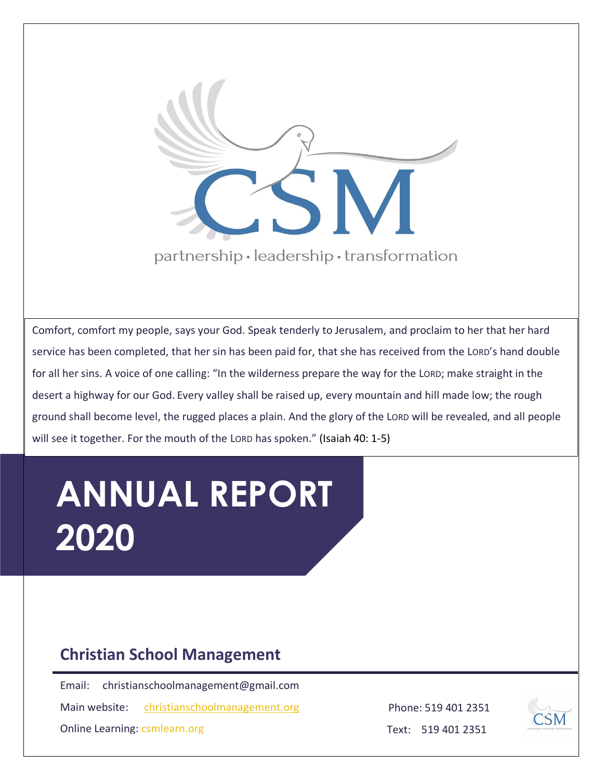

Comfort, comfort my people, says your God. Speak tenderly to Jerusalem, and proclaim to her that her hard service has been completed, that her sin has been paid for, that she has received from the LORD's hand double for all her sins. A voice of one calling: "In the wilderness prepare the way for the LORD; make straight in the desert a highway for our God. Every valley shall be raised up, every mountain and hill made low; the rough ground shall become level, the rugged places a plain. And the glory of the LORD will be revealed, and all people will see it together. For the mouth of the LORD has spoken." (Isaiah 40: 1-5)

# **ANNUAL REPORT 2020**

### **Christian School Management**

Email: christianschoolmanagement@gmail.com

Main website: [christianschoolmanagement.org](http://www.https/christianschoolmanagement.org)

Online Learning: csmlearn.org

Phone: 519 401 2351



Text: 519 401 2351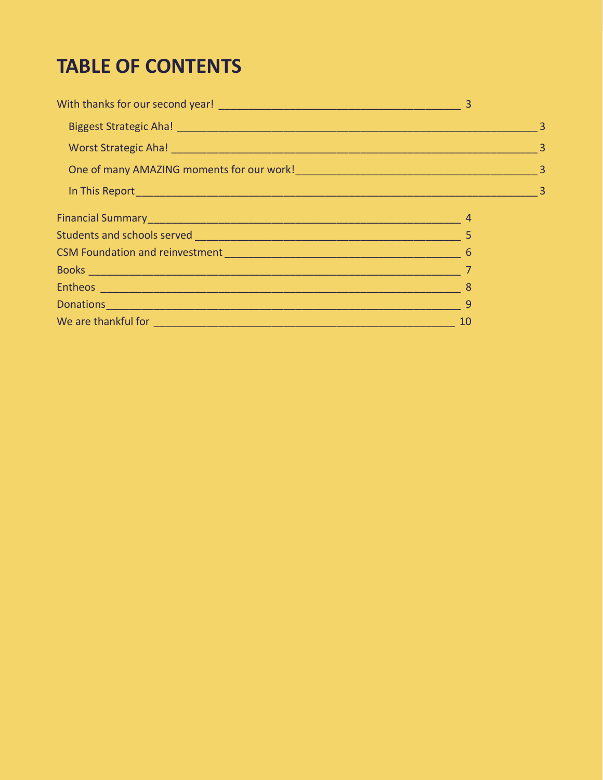## **TABLE OF CONTENTS**

| Financial Summary <u>New York: New York: New York: New York: New York: New York: New York: New York: New York: New York: New York: New York: New York: New York: New York: New York: New York: New York: New York: New York: New</u> |    |  |
|--------------------------------------------------------------------------------------------------------------------------------------------------------------------------------------------------------------------------------------|----|--|
|                                                                                                                                                                                                                                      |    |  |
|                                                                                                                                                                                                                                      |    |  |
|                                                                                                                                                                                                                                      |    |  |
|                                                                                                                                                                                                                                      | -8 |  |
|                                                                                                                                                                                                                                      |    |  |
|                                                                                                                                                                                                                                      | 10 |  |
|                                                                                                                                                                                                                                      |    |  |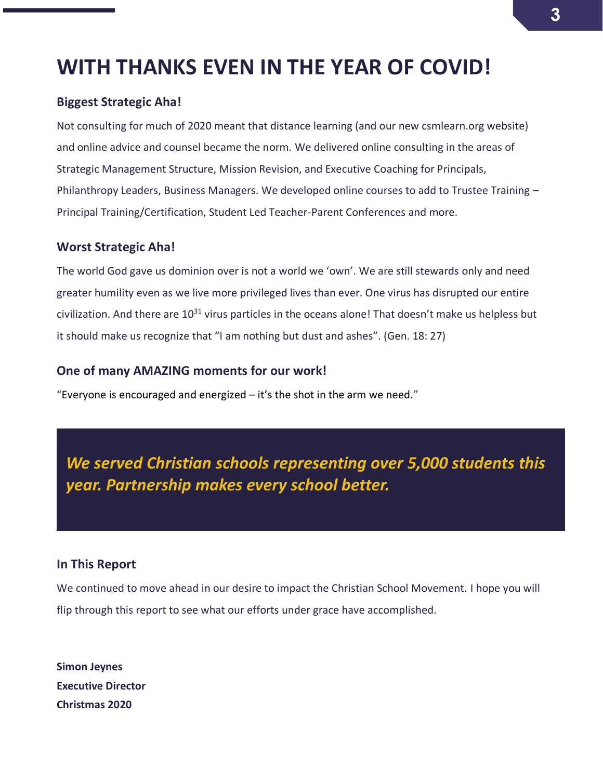### <span id="page-2-0"></span>**WITH THANKS EVEN IN THE YEAR OF COVID!**

#### <span id="page-2-1"></span>**Biggest Strategic Aha!**

Not consulting for much of 2020 meant that distance learning (and our new csmlearn.org website) and online advice and counsel became the norm. We delivered online consulting in the areas of Strategic Management Structure, Mission Revision, and Executive Coaching for Principals, Philanthropy Leaders, Business Managers. We developed online courses to add to Trustee Training – Principal Training/Certification, Student Led Teacher-Parent Conferences and more.

#### <span id="page-2-2"></span>**Worst Strategic Aha!**

The world God gave us dominion over is not a world we 'own'. We are still stewards only and need greater humility even as we live more privileged lives than ever. One virus has disrupted our entire civilization. And there are  $10^{31}$  virus particles in the oceans alone! That doesn't make us helpless but it should make us recognize that "I am nothing but dust and ashes". (Gen. 18: 27)

#### <span id="page-2-3"></span>**One of many AMAZING moments for our work!**

"Everyone is encouraged and energized  $-$  it's the shot in the arm we need."

*We served Christian schools representing over 5,000 students this year. Partnership makes every school better.* 

#### <span id="page-2-4"></span>**In This Report**

We continued to move ahead in our desire to impact the Christian School Movement. I hope you will flip through this report to see what our efforts under grace have accomplished.

**Simon Jeynes Executive Director Christmas 2020**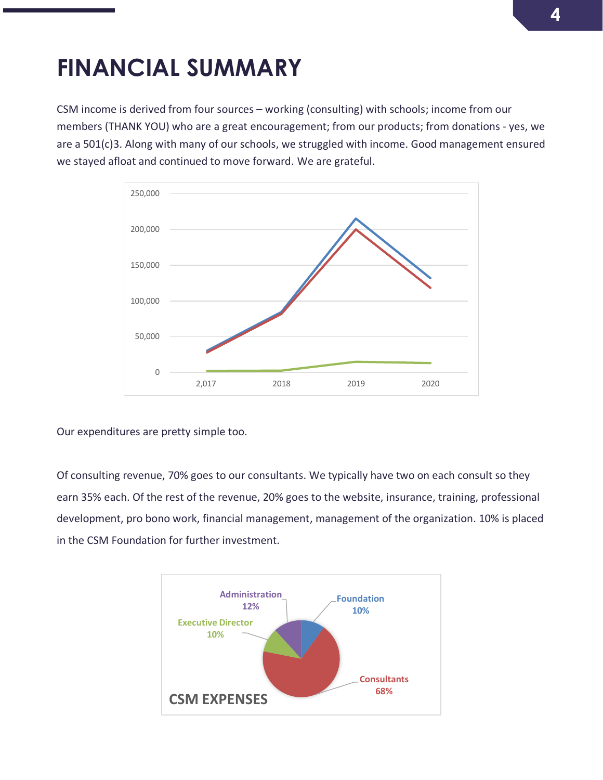## <span id="page-3-0"></span>**FINANCIAL SUMMARY**

CSM income is derived from four sources – working (consulting) with schools; income from our members (THANK YOU) who are a great encouragement; from our products; from donations - yes, we are a 501(c)3. Along with many of our schools, we struggled with income. Good management ensured we stayed afloat and continued to move forward. We are grateful.



Our expenditures are pretty simple too.

Of consulting revenue, 70% goes to our consultants. We typically have two on each consult so they earn 35% each. Of the rest of the revenue, 20% goes to the website, insurance, training, professional development, pro bono work, financial management, management of the organization. 10% is placed in the CSM Foundation for further investment.

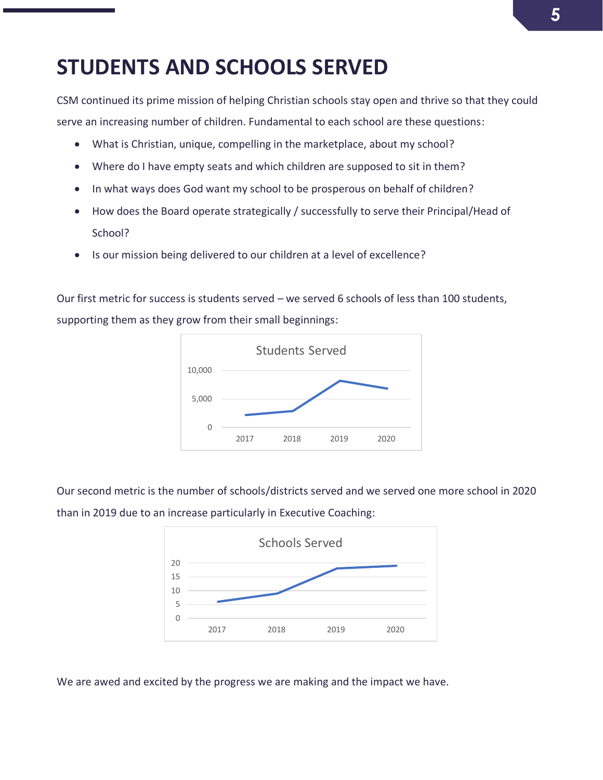### <span id="page-4-0"></span>**STUDENTS AND SCHOOLS SERVED**

CSM continued its prime mission of helping Christian schools stay open and thrive so that they could serve an increasing number of children. Fundamental to each school are these questions:

- What is Christian, unique, compelling in the marketplace, about my school?
- Where do I have empty seats and which children are supposed to sit in them?
- In what ways does God want my school to be prosperous on behalf of children?
- How does the Board operate strategically / successfully to serve their Principal/Head of School?
- Is our mission being delivered to our children at a level of excellence?

Our first metric for success is students served – we served 6 schools of less than 100 students, supporting them as they grow from their small beginnings:



Our second metric is the number of schools/districts served and we served one more school in 2020 than in 2019 due to an increase particularly in Executive Coaching:



We are awed and excited by the progress we are making and the impact we have.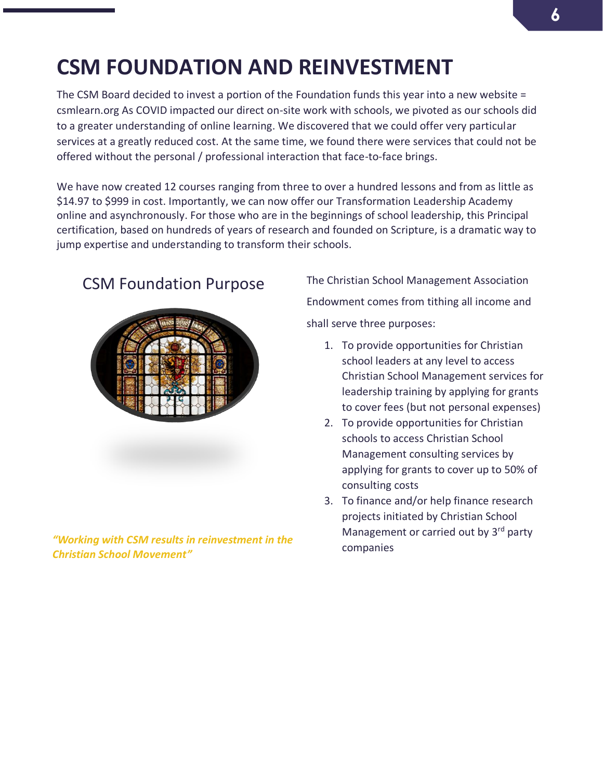## <span id="page-5-0"></span>**CSM FOUNDATION AND REINVESTMENT**

The CSM Board decided to invest a portion of the Foundation funds this year into a new website = csmlearn.org As COVID impacted our direct on-site work with schools, we pivoted as our schools did to a greater understanding of online learning. We discovered that we could offer very particular services at a greatly reduced cost. At the same time, we found there were services that could not be offered without the personal / professional interaction that face-to-face brings.

We have now created 12 courses ranging from three to over a hundred lessons and from as little as \$14.97 to \$999 in cost. Importantly, we can now offer our Transformation Leadership Academy online and asynchronously. For those who are in the beginnings of school leadership, this Principal certification, based on hundreds of years of research and founded on Scripture, is a dramatic way to jump expertise and understanding to transform their schools.



*"Working with CSM results in reinvestment in the Christian School Movement"*

CSM Foundation Purpose The Christian School Management Association Endowment comes from tithing all income and shall serve three purposes:

- 1. To provide opportunities for Christian school leaders at any level to access Christian School Management services for leadership training by applying for grants to cover fees (but not personal expenses)
- 2. To provide opportunities for Christian schools to access Christian School Management consulting services by applying for grants to cover up to 50% of consulting costs
- 3. To finance and/or help finance research projects initiated by Christian School Management or carried out by 3<sup>rd</sup> party companies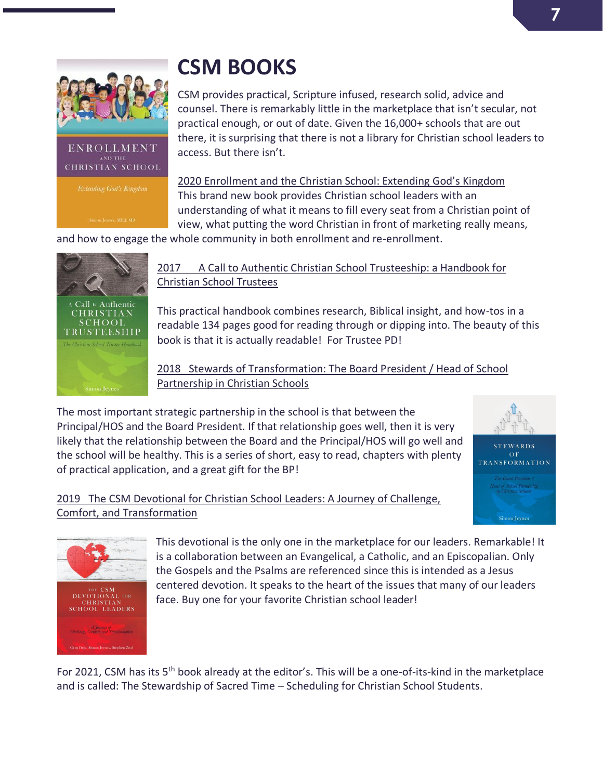**STEWARDS**  $\overline{O}$  F RANSFORMATION



#### ENROLLMENT **CHRISTIAN SCHOOL**

## <span id="page-6-0"></span>**CSM BOOKS**

CSM provides practical, Scripture infused, research solid, advice and counsel. There is remarkably little in the marketplace that isn't secular, not practical enough, or out of date. Given the 16,000+ schools that are out there, it is surprising that there is not a library for Christian school leaders to access. But there isn't.

2020 Enrollment and the Christian School: Extending God's Kingdom This brand new book provides Christian school leaders with an understanding of what it means to fill every seat from a Christian point of view, what putting the word Christian in front of marketing really means,

and how to engage the whole community in both enrollment and re-enrollment.



THE CSM<br>DEVOTIONAL FOR<br>CHRISTIAN<br>SCHOOL LEADERS

#### 2017 A Call to Authentic Christian School Trusteeship: a Handbook for Christian School Trustees

This practical handbook combines research, Biblical insight, and how-tos in a readable 134 pages good for reading through or dipping into. The beauty of this book is that it is actually readable! For Trustee PD!

2018 Stewards of Transformation: The Board President / Head of School Partnership in Christian Schools

The most important strategic partnership in the school is that between the Principal/HOS and the Board President. If that relationship goes well, then it is very likely that the relationship between the Board and the Principal/HOS will go well and the school will be healthy. This is a series of short, easy to read, chapters with plenty of practical application, and a great gift for the BP!

#### 2019 The CSM Devotional for Christian School Leaders: A Journey of Challenge, Comfort, and Transformation



This devotional is the only one in the marketplace for our leaders. Remarkable! It is a collaboration between an Evangelical, a Catholic, and an Episcopalian. Only the Gospels and the Psalms are referenced since this is intended as a Jesus centered devotion. It speaks to the heart of the issues that many of our leaders face. Buy one for your favorite Christian school leader!

For 2021, CSM has its 5th book already at the editor's. This will be a one-of-its-kind in the marketplace and is called: The Stewardship of Sacred Time – Scheduling for Christian School Students.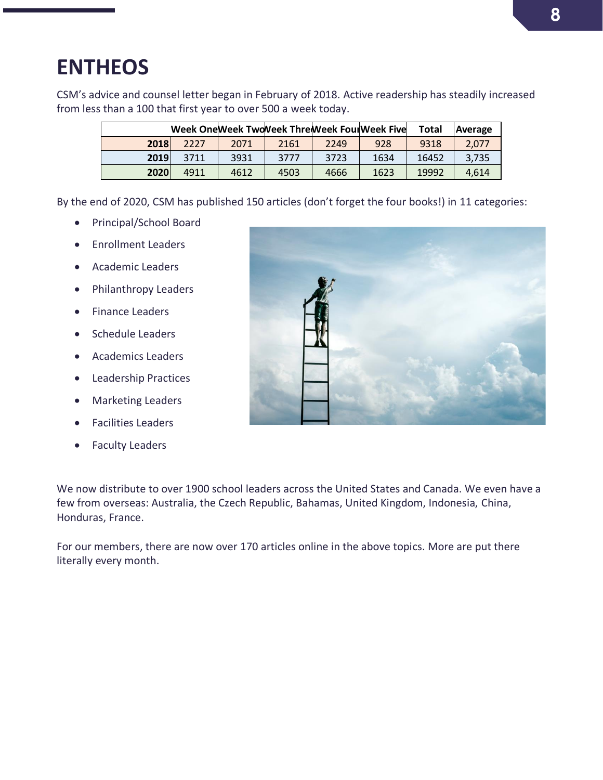## <span id="page-7-0"></span>**ENTHEOS**

CSM's advice and counsel letter began in February of 2018. Active readership has steadily increased from less than a 100 that first year to over 500 a week today.

|      |      |      |      |      | Week One Week Two Neek Thre Week Four Week Five | Total | Average |
|------|------|------|------|------|-------------------------------------------------|-------|---------|
| 2018 | 2227 | 2071 | 2161 | 2249 | 928                                             | 9318  | 2.077   |
| 2019 | 3711 | 3931 | 3777 | 3723 | 1634                                            | 16452 | 3.735   |
| 2020 | 4911 | 4612 | 4503 | 4666 | 1623                                            | 19992 | 4.614   |

By the end of 2020, CSM has published 150 articles (don't forget the four books!) in 11 categories:

- Principal/School Board
- Enrollment Leaders
- Academic Leaders
- Philanthropy Leaders
- Finance Leaders
- Schedule Leaders
- Academics Leaders
- Leadership Practices
- Marketing Leaders
- Facilities Leaders
- Faculty Leaders



We now distribute to over 1900 school leaders across the United States and Canada. We even have a few from overseas: Australia, the Czech Republic, Bahamas, United Kingdom, Indonesia, China, Honduras, France.

For our members, there are now over 170 articles online in the above topics. More are put there literally every month.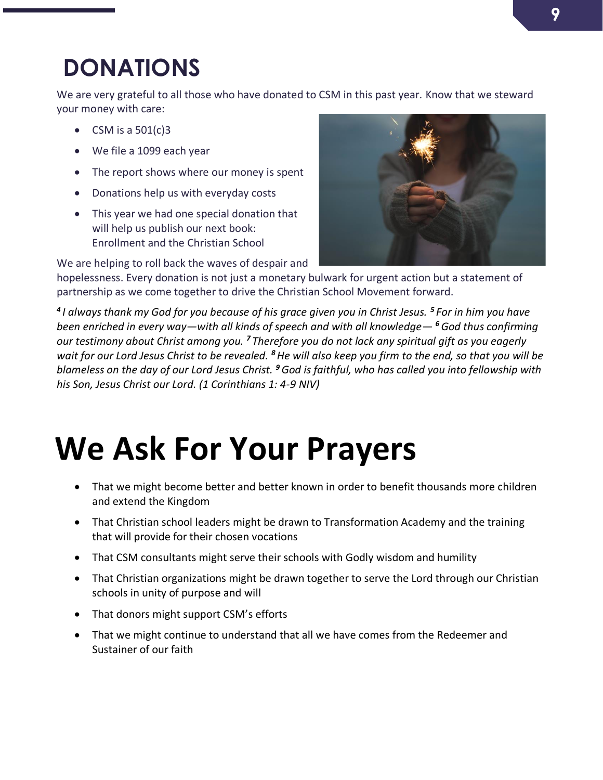## <span id="page-8-0"></span>**DONATIONS**

We are very grateful to all those who have donated to CSM in this past year. Know that we steward your money with care:

- CSM is a  $501(c)3$
- We file a 1099 each year
- The report shows where our money is spent
- Donations help us with everyday costs
- This year we had one special donation that will help us publish our next book: Enrollment and the Christian School

We are helping to roll back the waves of despair and



hopelessness. Every donation is not just a monetary bulwark for urgent action but a statement of partnership as we come together to drive the Christian School Movement forward.

*4 I always thank my God for you because of his grace given you in Christ Jesus. <sup>5</sup> For in him you have been enriched in every way—with all kinds of speech and with all knowledge— <sup>6</sup>God thus confirming our testimony about Christ among you. <sup>7</sup> Therefore you do not lack any spiritual gift as you eagerly wait for our Lord Jesus Christ to be revealed. <sup>8</sup>He will also keep you firm to the end, so that you will be blameless on the day of our Lord Jesus Christ. <sup>9</sup>God is faithful, who has called you into fellowship with his Son, Jesus Christ our Lord. (1 Corinthians 1: 4-9 NIV)*

# **We Ask For Your Prayers**

- That we might become better and better known in order to benefit thousands more children and extend the Kingdom
- That Christian school leaders might be drawn to Transformation Academy and the training that will provide for their chosen vocations
- That CSM consultants might serve their schools with Godly wisdom and humility
- That Christian organizations might be drawn together to serve the Lord through our Christian schools in unity of purpose and will
- That donors might support CSM's efforts
- That we might continue to understand that all we have comes from the Redeemer and Sustainer of our faith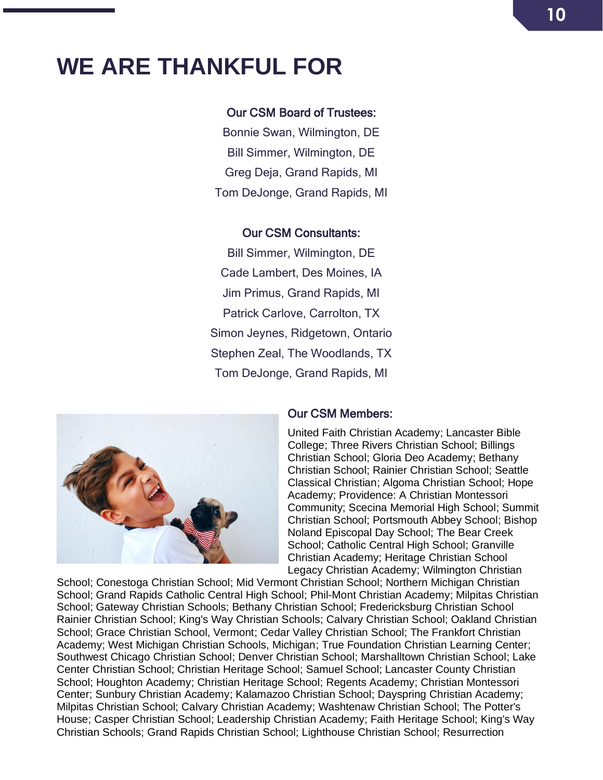## <span id="page-9-0"></span>**WE ARE THANKFUL FOR**

#### Our CSM Board of Trustees:

Bonnie Swan, Wilmington, DE Bill Simmer, Wilmington, DE Greg Deja, Grand Rapids, MI Tom DeJonge, Grand Rapids, MI

#### Our CSM Consultants:

Bill Simmer, Wilmington, DE Cade Lambert, Des Moines, IA Jim Primus, Grand Rapids, MI Patrick Carlove, Carrolton, TX Simon Jeynes, Ridgetown, Ontario Stephen Zeal, The Woodlands, TX Tom DeJonge, Grand Rapids, MI



#### Our CSM Members:

United Faith Christian Academy; Lancaster Bible College; Three Rivers Christian School; Billings Christian School; Gloria Deo Academy; Bethany Christian School; Rainier Christian School; Seattle Classical Christian; Algoma Christian School; Hope Academy; Providence: A Christian Montessori Community; Scecina Memorial High School; Summit Christian School; Portsmouth Abbey School; Bishop Noland Episcopal Day School; The Bear Creek School; Catholic Central High School; Granville Christian Academy; Heritage Christian School Legacy Christian Academy; Wilmington Christian

School; Conestoga Christian School; Mid Vermont Christian School; Northern Michigan Christian School; Grand Rapids Catholic Central High School; Phil-Mont Christian Academy; Milpitas Christian School; Gateway Christian Schools; Bethany Christian School; Fredericksburg Christian School Rainier Christian School; King's Way Christian Schools; Calvary Christian School; Oakland Christian School; Grace Christian School, Vermont; Cedar Valley Christian School; The Frankfort Christian Academy; West Michigan Christian Schools, Michigan; True Foundation Christian Learning Center; Southwest Chicago Christian School; Denver Christian School; Marshalltown Christian School; Lake Center Christian School; Christian Heritage School; Samuel School; Lancaster County Christian School; Houghton Academy; Christian Heritage School; Regents Academy; Christian Montessori Center; Sunbury Christian Academy; Kalamazoo Christian School; Dayspring Christian Academy; Milpitas Christian School; Calvary Christian Academy; Washtenaw Christian School; The Potter's House; Casper Christian School; Leadership Christian Academy; Faith Heritage School; King's Way Christian Schools; Grand Rapids Christian School; Lighthouse Christian School; Resurrection